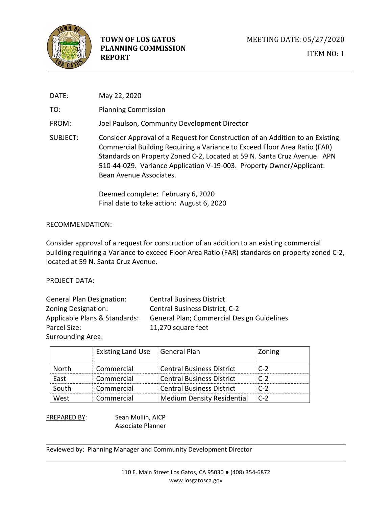

DATE: May 22, 2020

TO: Planning Commission

FROM: Joel Paulson, Community Development Director

SUBJECT: Consider Approval of a Request for Construction of an Addition to an Existing Commercial Building Requiring a Variance to Exceed Floor Area Ratio (FAR) Standards on Property Zoned C-2, Located at 59 N. Santa Cruz Avenue. APN 510-44-029. Variance Application V-19-003. Property Owner/Applicant: Bean Avenue Associates.

> Deemed complete: February 6, 2020 Final date to take action: August 6, 2020

## RECOMMENDATION:

Consider approval of a request for construction of an addition to an existing commercial building requiring a Variance to exceed Floor Area Ratio (FAR) standards on property zoned C-2, located at 59 N. Santa Cruz Avenue.

## PROJECT DATA:

| <b>General Plan Designation:</b> | <b>Central Business District</b>                  |
|----------------------------------|---------------------------------------------------|
| Zoning Designation:              | Central Business District, C-2                    |
| Applicable Plans & Standards:    | <b>General Plan; Commercial Design Guidelines</b> |
| Parcel Size:                     | 11,270 square feet                                |
| <b>Surrounding Area:</b>         |                                                   |

|              | Existing Land Use General Plan |                                   | Zoning |
|--------------|--------------------------------|-----------------------------------|--------|
| <b>North</b> | Commercial                     | <b>Central Business District</b>  | $C-2$  |
| Fast         | Commercial                     | <b>Central Business District</b>  | r-2    |
| South        | Commercial                     | <b>Central Business District</b>  | C-2    |
| West         | Commercial                     | <b>Medium Density Residential</b> | $C-2$  |

PREPARED BY: Sean Mullin, AICP Associate Planner

Reviewed by: Planning Manager and Community Development Director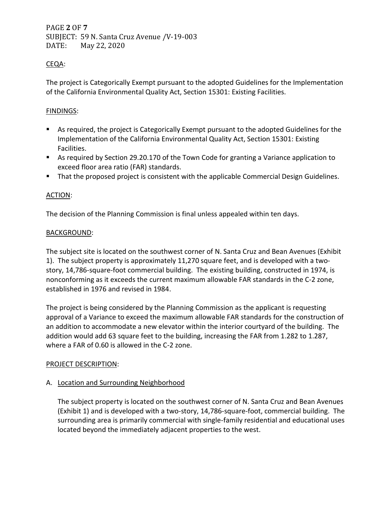PAGE **2** OF **7** SUBJECT: 59 N. Santa Cruz Avenue /V-19-003 DATE: May 22, 2020

# CEQA:

The project is Categorically Exempt pursuant to the adopted Guidelines for the Implementation of the California Environmental Quality Act, Section 15301: Existing Facilities.

## FINDINGS:

- As required, the project is Categorically Exempt pursuant to the adopted Guidelines for the Implementation of the California Environmental Quality Act, Section 15301: Existing Facilities.
- As required by Section 29.20.170 of the Town Code for granting a Variance application to exceed floor area ratio (FAR) standards.
- That the proposed project is consistent with the applicable Commercial Design Guidelines.

## ACTION:

The decision of the Planning Commission is final unless appealed within ten days.

## BACKGROUND:

The subject site is located on the southwest corner of N. Santa Cruz and Bean Avenues (Exhibit 1). The subject property is approximately 11,270 square feet, and is developed with a twostory, 14,786-square-foot commercial building. The existing building, constructed in 1974, is nonconforming as it exceeds the current maximum allowable FAR standards in the C-2 zone, established in 1976 and revised in 1984.

The project is being considered by the Planning Commission as the applicant is requesting approval of a Variance to exceed the maximum allowable FAR standards for the construction of an addition to accommodate a new elevator within the interior courtyard of the building. The addition would add 63 square feet to the building, increasing the FAR from 1.282 to 1.287, where a FAR of 0.60 is allowed in the C-2 zone.

## PROJECT DESCRIPTION:

## A. Location and Surrounding Neighborhood

The subject property is located on the southwest corner of N. Santa Cruz and Bean Avenues (Exhibit 1) and is developed with a two-story, 14,786-square-foot, commercial building. The surrounding area is primarily commercial with single-family residential and educational uses located beyond the immediately adjacent properties to the west.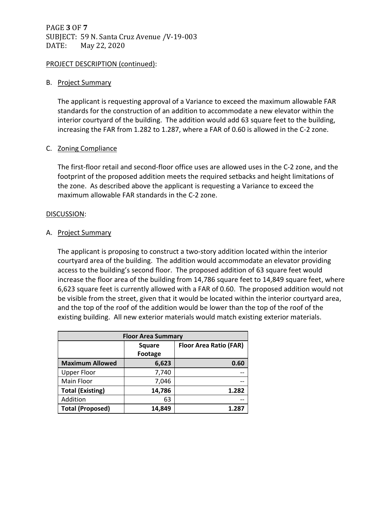# PAGE **3** OF **7** SUBJECT: 59 N. Santa Cruz Avenue /V-19-003 DATE: May 22, 2020

### PROJECT DESCRIPTION (continued):

#### B. Project Summary

The applicant is requesting approval of a Variance to exceed the maximum allowable FAR standards for the construction of an addition to accommodate a new elevator within the interior courtyard of the building. The addition would add 63 square feet to the building, increasing the FAR from 1.282 to 1.287, where a FAR of 0.60 is allowed in the C-2 zone.

#### C. Zoning Compliance

The first-floor retail and second-floor office uses are allowed uses in the C-2 zone, and the footprint of the proposed addition meets the required setbacks and height limitations of the zone. As described above the applicant is requesting a Variance to exceed the maximum allowable FAR standards in the C-2 zone.

#### DISCUSSION:

#### A. Project Summary

The applicant is proposing to construct a two-story addition located within the interior courtyard area of the building. The addition would accommodate an elevator providing access to the building's second floor. The proposed addition of 63 square feet would increase the floor area of the building from 14,786 square feet to 14,849 square feet, where 6,623 square feet is currently allowed with a FAR of 0.60. The proposed addition would not be visible from the street, given that it would be located within the interior courtyard area, and the top of the roof of the addition would be lower than the top of the roof of the existing building. All new exterior materials would match existing exterior materials.

| <b>Floor Area Summary</b> |                          |                               |  |  |  |  |
|---------------------------|--------------------------|-------------------------------|--|--|--|--|
|                           | <b>Square</b><br>Footage | <b>Floor Area Ratio (FAR)</b> |  |  |  |  |
| <b>Maximum Allowed</b>    | 6,623                    | 0.60                          |  |  |  |  |
| <b>Upper Floor</b>        | 7,740                    |                               |  |  |  |  |
| Main Floor                | 7,046                    |                               |  |  |  |  |
| <b>Total (Existing)</b>   | 14,786                   | 1.282                         |  |  |  |  |
| Addition                  | 63                       |                               |  |  |  |  |
| <b>Total (Proposed)</b>   | 14,849                   | 1.287                         |  |  |  |  |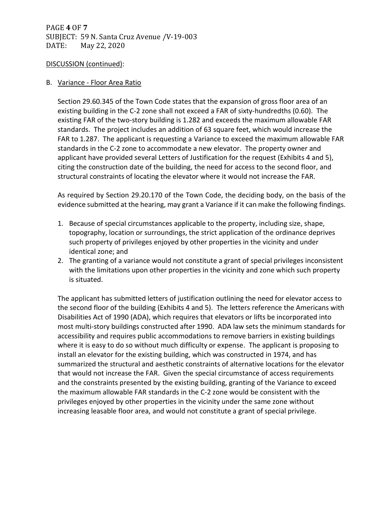PAGE **4** OF **7** SUBJECT: 59 N. Santa Cruz Avenue /V-19-003 DATE: May 22, 2020

#### DISCUSSION (continued):

## B. Variance - Floor Area Ratio

Section 29.60.345 of the Town Code states that the expansion of gross floor area of an existing building in the C-2 zone shall not exceed a FAR of sixty-hundredths (0.60). The existing FAR of the two-story building is 1.282 and exceeds the maximum allowable FAR standards. The project includes an addition of 63 square feet, which would increase the FAR to 1.287. The applicant is requesting a Variance to exceed the maximum allowable FAR standards in the C-2 zone to accommodate a new elevator. The property owner and applicant have provided several Letters of Justification for the request (Exhibits 4 and 5), citing the construction date of the building, the need for access to the second floor, and structural constraints of locating the elevator where it would not increase the FAR.

As required by Section 29.20.170 of the Town Code, the deciding body, on the basis of the evidence submitted at the hearing, may grant a Variance if it can make the following findings.

- 1. Because of special circumstances applicable to the property, including size, shape, topography, location or surroundings, the strict application of the ordinance deprives such property of privileges enjoyed by other properties in the vicinity and under identical zone; and
- 2. The granting of a variance would not constitute a grant of special privileges inconsistent with the limitations upon other properties in the vicinity and zone which such property is situated.

The applicant has submitted letters of justification outlining the need for elevator access to the second floor of the building (Exhibits 4 and 5). The letters reference the Americans with Disabilities Act of 1990 (ADA), which requires that elevators or lifts be incorporated into most multi-story buildings constructed after 1990. ADA law sets the minimum standards for accessibility and requires public accommodations to remove barriers in existing buildings where it is easy to do so without much difficulty or expense. The applicant is proposing to install an elevator for the existing building, which was constructed in 1974, and has summarized the structural and aesthetic constraints of alternative locations for the elevator that would not increase the FAR. Given the special circumstance of access requirements and the constraints presented by the existing building, granting of the Variance to exceed the maximum allowable FAR standards in the C-2 zone would be consistent with the privileges enjoyed by other properties in the vicinity under the same zone without increasing leasable floor area, and would not constitute a grant of special privilege.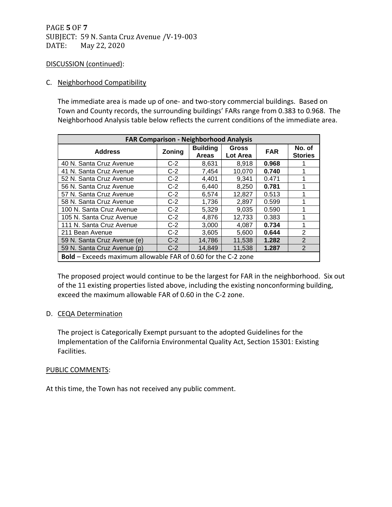# PAGE **5** OF **7** SUBJECT: 59 N. Santa Cruz Avenue /V-19-003 DATE: May 22, 2020

#### DISCUSSION (continued):

## C. Neighborhood Compatibility

The immediate area is made up of one- and two-story commercial buildings. Based on Town and County records, the surrounding buildings' FARs range from 0.383 to 0.968. The Neighborhood Analysis table below reflects the current conditions of the immediate area.

| <b>FAR Comparison - Neighborhood Analysis</b>                        |        |                                 |                          |            |                          |  |  |  |
|----------------------------------------------------------------------|--------|---------------------------------|--------------------------|------------|--------------------------|--|--|--|
| <b>Address</b>                                                       | Zoning | <b>Building</b><br><b>Areas</b> | <b>Gross</b><br>Lot Area | <b>FAR</b> | No. of<br><b>Stories</b> |  |  |  |
| 40 N. Santa Cruz Avenue                                              | $C-2$  | 8,631                           | 8,918                    | 0.968      |                          |  |  |  |
| 41 N. Santa Cruz Avenue                                              | $C-2$  | 7,454                           | 10,070                   | 0.740      | 1                        |  |  |  |
| 52 N. Santa Cruz Avenue                                              | $C-2$  | 4,401                           | 9,341                    | 0.471      | 1                        |  |  |  |
| 56 N. Santa Cruz Avenue                                              | $C-2$  | 6,440                           | 8,250                    | 0.781      | 1                        |  |  |  |
| 57 N. Santa Cruz Avenue                                              | $C-2$  | 6,574                           | 12,827                   | 0.513      | 1                        |  |  |  |
| 58 N. Santa Cruz Avenue                                              | $C-2$  | 1,736                           | 2,897                    | 0.599      | 1                        |  |  |  |
| 100 N. Santa Cruz Avenue                                             | $C-2$  | 5,329                           | 9,035                    | 0.590      | 1                        |  |  |  |
| 105 N. Santa Cruz Avenue                                             | $C-2$  | 4,876                           | 12,733                   | 0.383      | 1                        |  |  |  |
| 111 N. Santa Cruz Avenue                                             | $C-2$  | 3,000                           | 4,087                    | 0.734      | 1                        |  |  |  |
| 211 Bean Avenue                                                      | $C-2$  | 3,605                           | 5,600                    | 0.644      | 2                        |  |  |  |
| 59 N. Santa Cruz Avenue (e)                                          | $C-2$  | 14,786                          | 11,538                   | 1.282      | 2                        |  |  |  |
| 59 N. Santa Cruz Avenue (p)                                          | $C-2$  | 14,849                          | 11,538                   | 1.287      | $\overline{2}$           |  |  |  |
| <b>Bold</b> – Exceeds maximum allowable FAR of 0.60 for the C-2 zone |        |                                 |                          |            |                          |  |  |  |

The proposed project would continue to be the largest for FAR in the neighborhood. Six out of the 11 existing properties listed above, including the existing nonconforming building, exceed the maximum allowable FAR of 0.60 in the C-2 zone.

## D. CEQA Determination

The project is Categorically Exempt pursuant to the adopted Guidelines for the Implementation of the California Environmental Quality Act, Section 15301: Existing Facilities.

#### PUBLIC COMMENTS:

At this time, the Town has not received any public comment.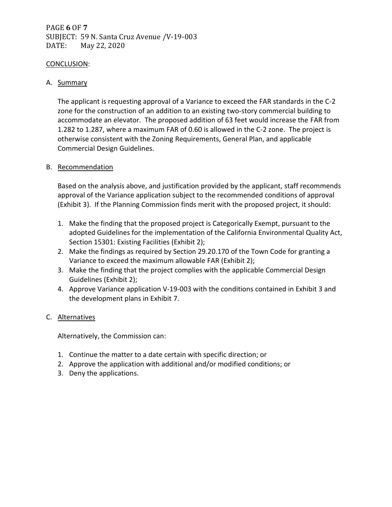# PAGE **6** OF **7** SUBJECT: 59 N. Santa Cruz Avenue /V-19-003 DATE: May 22, 2020

#### CONCLUSION:

### A. Summary

The applicant is requesting approval of a Variance to exceed the FAR standards in the C-2 zone for the construction of an addition to an existing two-story commercial building to accommodate an elevator. The proposed addition of 63 feet would increase the FAR from 1.282 to 1.287, where a maximum FAR of 0.60 is allowed in the C-2 zone. The project is otherwise consistent with the Zoning Requirements, General Plan, and applicable Commercial Design Guidelines.

#### B. Recommendation

Based on the analysis above, and justification provided by the applicant, staff recommends approval of the Variance application subject to the recommended conditions of approval (Exhibit 3). If the Planning Commission finds merit with the proposed project, it should:

- 1. Make the finding that the proposed project is Categorically Exempt, pursuant to the adopted Guidelines for the implementation of the California Environmental Quality Act, Section 15301: Existing Facilities (Exhibit 2);
- 2. Make the findings as required by Section 29.20.170 of the Town Code for granting a Variance to exceed the maximum allowable FAR (Exhibit 2);
- 3. Make the finding that the project complies with the applicable Commercial Design Guidelines (Exhibit 2);
- 4. Approve Variance application V-19-003 with the conditions contained in Exhibit 3 and the development plans in Exhibit 7.

## C. Alternatives

Alternatively, the Commission can:

- 1. Continue the matter to a date certain with specific direction; or
- 2. Approve the application with additional and/or modified conditions; or
- 3. Deny the applications.